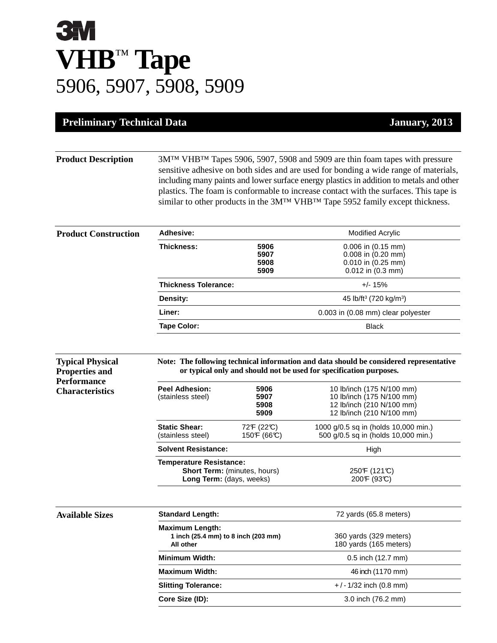## **BAY VHB**™ **Tape** 5906, 5907, 5908, 5909

**Preliminary Technical Data** 

**Properties and Performance Characteristics**

| <u>Lamiary</u> | 20 |  |
|----------------|----|--|
|                |    |  |

**Product Description** 3M™ VHB™ Tapes 5906, 5907, 5908 and 5909 are thin foam tapes with pressure sensitive adhesive on both sides and are used for bonding a wide range of materials, including many paints and lower surface energy plastics in addition to metals and other plastics. The foam is conformable to increase contact with the surfaces. This tape is similar to other products in the 3M™ VHB™ Tape 5952 family except thickness.

| <b>Product Construction</b> | Adhesive:                   |                              | <b>Modified Acrylic</b>                                                                             |
|-----------------------------|-----------------------------|------------------------------|-----------------------------------------------------------------------------------------------------|
|                             | Thickness:                  | 5906<br>5907<br>5908<br>5909 | $0.006$ in $(0.15$ mm)<br>$0.008$ in $(0.20$ mm)<br>$0.010$ in $(0.25$ mm)<br>$0.012$ in $(0.3$ mm) |
|                             | <b>Thickness Tolerance:</b> |                              | $+/- 15%$                                                                                           |
|                             | Density:                    |                              | 45 lb/ft <sup>3</sup> (720 kg/m <sup>3</sup> )                                                      |
|                             | Liner:                      |                              | 0.003 in (0.08 mm) clear polyester                                                                  |
|                             | Tape Color:                 |                              | <b>Black</b>                                                                                        |
|                             |                             |                              |                                                                                                     |

| <b>Typical Physical</b>                | Note: The following technical information and data should be considered representative |
|----------------------------------------|----------------------------------------------------------------------------------------|
| <b>Properties and</b><br>$\sim$ $\sim$ | or typical only and should not be used for specification purposes.                     |

| <b>Peel Adhesion:</b><br>(stainless steel) | 5906<br>5907<br>5908<br>5909                                    | 10 lb/inch (175 N/100 mm)<br>10 lb/inch (175 N/100 mm)<br>12 lb/inch (210 N/100 mm)<br>12 lb/inch (210 N/100 mm) |
|--------------------------------------------|-----------------------------------------------------------------|------------------------------------------------------------------------------------------------------------------|
| <b>Static Shear:</b><br>(stainless steel)  | 72F (22°C)<br>150F (66°C)                                       | 1000 g/0.5 sq in (holds 10,000 min.)<br>500 g/0.5 sq in (holds 10,000 min.)                                      |
| <b>Solvent Resistance:</b>                 |                                                                 | High                                                                                                             |
| <b>Temperature Resistance:</b>             | <b>Short Term:</b> (minutes, hours)<br>Long Term: (days, weeks) | 250F (121°C)<br>200F (93C)                                                                                       |

| <b>Available Sizes</b> | <b>Standard Length:</b>                                                    | 72 yards (65.8 meters)                           |
|------------------------|----------------------------------------------------------------------------|--------------------------------------------------|
|                        | <b>Maximum Length:</b><br>1 inch (25.4 mm) to 8 inch (203 mm)<br>All other | 360 yards (329 meters)<br>180 yards (165 meters) |
|                        | <b>Minimum Width:</b>                                                      | 0.5 inch (12.7 mm)                               |
|                        | <b>Maximum Width:</b>                                                      | 46 inch (1170 mm)                                |
|                        | <b>Slitting Tolerance:</b>                                                 | $+/-1/32$ inch (0.8 mm)                          |
|                        | Core Size (ID):                                                            | 3.0 inch (76.2 mm)                               |